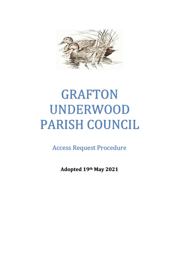

# GRAFTON UNDERWOOD PARISH COUNCIL

Access Request Procedure

**Adopted 19th May 2021**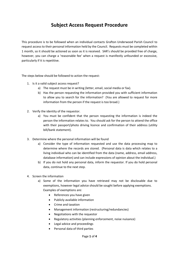## **Subject Access Request Procedure**

This procedure is to be followed when an individual contacts Grafton Underwood Parish Council to request access to their personal information held by the Council. Requests must be completed within 1 month, so it should be actioned as soon as it is received. SAR's should be provided free of charge, however, you can charge a 'reasonable fee' when a request is manifestly unfounded or excessive, particularly if it is repetitive.

The steps below should be followed to action the request:

- 1. Is it a valid subject access request?
	- a) The request must be in writing (letter, email, social media or fax).
	- b) Has the person requesting the information provided you with sufficient information to allow you to search for the information? (You are allowed to request for more information from the person if the request is too broad.)
- 2. Verify the identity of the requestor.
	- a) You must be confident that the person requesting the information is indeed the person the information relates to. You should ask for the person to attend the office with their passport/photo driving licence and confirmation of their address (utility bill/bank statement).
- 3. Determine where the personal information will be found
	- a) Consider the type of information requested and use the data processing map to determine where the records are stored. (Personal data is data which relates to a living individual who can be identified from the data (name, address, email address, database information) and can include expressions of opinion about the individual.)
	- b) If you do not hold any personal data, inform the requestor. If you do hold personal data, continue to the next step.
- 4. Screen the information
	- a) Some of the information you have retrieved may not be disclosable due to exemptions, however legal advice should be sought before applying exemptions. Examples of exemptions are:
		- References you have given
		- Publicly available information
		- Crime and taxation
		- Management information (restructuring/redundancies)
		- Negotiations with the requestor
		- Regulatory activities (planning enforcement, noise nuisance)
		- Legal advice and proceedings
		- Personal data of third parties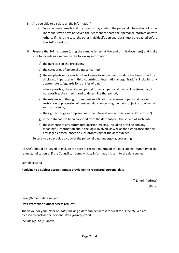- 5. Are you able to disclose all the information?
	- a) In some cases, emails and documents may contain the personal information of other individuals who have not given their consent to share their personal information with others. If this is the case, the other individual's personal data must be redacted before the SAR is sent out.
- 6. Prepare the SAR response (using the sample letters at the end of this document) and make sure to include as a minimum the following information:
	- a) the purposes of the processing;
	- b) the categories of personal data concerned;
	- c) the recipients or categories of recipients to whom personal data has been or will be disclosed, in particular in third countries or international organisations, including any appropriate safeguards for transfer of data;
	- d) where possible, the envisaged period for which personal data will be stored, or, if not possible, the criteria used to determine that period;
	- e) the existence of the right to request rectification or erasure of personal data or restriction of processing of personal data concerning the data subject or to object to such processing;
	- f) the right to lodge a complaint with the Information Commissioners Office ("ICO");
	- g) if the data has not been collected from the data subject: the source of such data;
	- h) the existence of any automated decision-making, including profiling and any meaningful information about the logic involved, as well as the significance and the envisaged consequences of such processing for the data subject.

Be sure to also provide a copy of the personal data undergoing processing.

All SAR's should be logged to include the date of receipt, identity of the data subject, summary of the request, indication of if the Council can comply, date information is sent to the data subject.

Sample letters:

### **Replying to a subject access request providing the requested personal data**

"[Name] [Address] [Date]

Dear [Name of data subject]

#### **Data Protection subject accessrequest**

Thank you for your letter of *[date]* making a data subject access request for *[subject]*. We are pleased to enclose the personal data yourequested.

Include 6(a) to (h) above.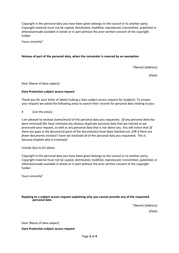Copyright in the personal data you have been given belongs to the council or to another party. Copyright material must not be copied, distributed, modified, reproduced, transmitted, published or otherwisemade available in whole or in part without the prior written consent of the copyright holder.

Yours sincerely"

#### **Release of part of the personal data, when the remainder is covered by an exemption**

"[Name] [Address]

[Date]

Dear [Name of data subject]

#### **Data Protection subject accessrequest**

Thank you for your letter of *[date]* making a data subject access request for *[subject]*. To answer your request we asked the following areas to search their records for personal data relating to you:

• [List the areas]

I am pleased to enclose *[some/most]* of the personal data you requested. *[If any personal data has been removed]* We have removed any obvious duplicate personal data that we noticed as we processed your request, as well as any personal data that is not about you. You will notice that *[if there are gaps in the document]* parts of the document(s) have been blacked out. *[OR if there are fewer documents enclose]* I have not enclosed all of the personal data you requested. This is because *[explain why it is exempt]*.

Include 6(a) to (h) above.

Copyright in the personal data you have been given belongs to the council or to another party. Copyright material must not be copied, distributed, modified, reproduced, transmitted, published, or otherwisemade available in whole or in part without the prior written consent of the copyright holder.

Yours sincerely"

#### **Replying to a subject access request explaining why you cannot provide any of the requested personal data**

"[Name] [Address] [Date]

Dear [Name of data subject]

**Data Protection subject access request**